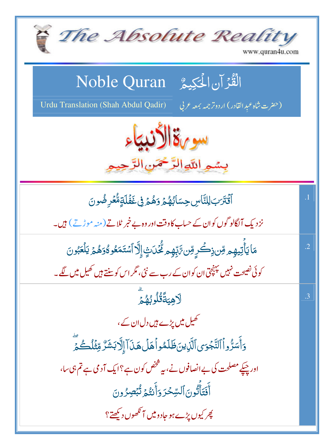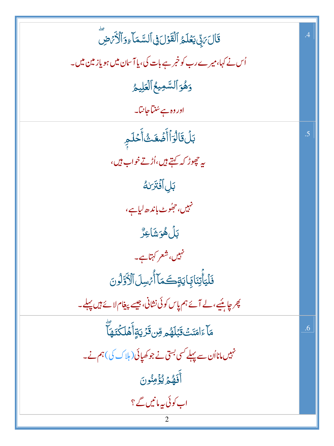| قَالَ يَدِّلَ يَعۡلَمُ ٱلۡقَوۡلَ فِى ٱلسَّمَاۤءِوَٱلۡكَٰٓئِ ضِ           | $\overline{.4}$ |
|--------------------------------------------------------------------------|-----------------|
| اُس نے کہا،میرے رب کو خبر ہے بات کی، یا آسان میں ہو یاز مین میں۔         |                 |
| وَهُوَ ٱلسَّمِيعُ ٱلۡعَلِيمُ                                             |                 |
| اور وہ ہے سُنیاجانیا۔                                                    |                 |
| بَلۡقَالۡوَٱأَضۡعَثۡاًخَلَمِ                                             | .5              |
| ىيە ج <sub>ى</sub> بور <i>گە كەيتے ہي</i> ں،اُڑتے خواب ہيں،              |                 |
| بَل أَفْتَرَ لَهُ                                                        |                 |
| نہیں، ج <sub>ُ</sub> مُوٹ باندھ لیاہے،                                   |                 |
| ڹڶؙۿؙۅؘۺؘٳۼڒ۠                                                            |                 |
| نہیں، شعر کہتاہے۔                                                        |                 |
| فَلْيَأَتِنَابَايَاتِكَمَآأُمۡسِلَٱلۡأَوَّلُونَ                          |                 |
| پھر چاہئیے، لے آئے ہم پاس کوئی نشانی، جیسے پیغام لائے ہیں پہلے۔          |                 |
| ِ<br>مَاۤءَامَنَتۡ قَبۡلَهُم مِّن قَرۡ یَةٍأَهۡلَکۡنَهَا                 | .6              |
| نہیں مانااُن سے پہلے <sup>کسی بس</sup> تی نے جو کھیائی ( ہلاک کی )ہم نے۔ |                 |
| أَفَهُمَ يُؤْمِنُونَ                                                     |                 |
| اب کوئی پہ مانیں گے ؟                                                    |                 |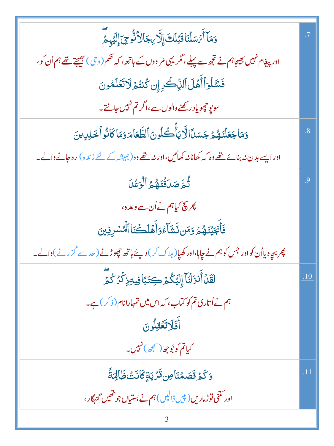| وَمَآ أَيْسَلۡنَاقَبَٰلَكَۚ إِلَّا <i>ب</i> ِجَالاَّذُّوِجَ إِلَيۡهِمَّ                               | .7             |
|-------------------------------------------------------------------------------------------------------|----------------|
| اور پیغام نہیں بھیجاہم نے تجھ سے پہلے، مگر یہی مَر دوں کے ہاتھ ، کہ حکم (و حی ) بھیجتے تھے ہم اُن کو، |                |
| فَسَّلُوَأَأَهَلَ ٱلذِّكْرِ إِن كُنتُمَ لَاتَعَلَمُونَ                                                |                |
| سو پو چجویاد رکھنے والوں سے،اگر تم نہیں جانتے۔                                                        |                |
| وَمَاجَعَلْنَهُمْ جَسَدًالَّايَأُكُلُونَ ٱلطَّعَامَ وَمَاكَانُواْ خَلِلِينَ                           | $\overline{8}$ |
| اور ایسے بدن نہ بنائے تھے وہ کہ کھانانہ کھائیں،اور نہ تھے وہ(ہمیشہ کے لئے زندہ) رہ جانے والے۔         |                |
| ثُّمَّ صَلَقَتَهُمُ ٱلۡوَعۡلَ                                                                         | .9             |
| پھر پیچ کیاہم نے اُن سے وعدہ،                                                                         |                |
| فَأَنْجَيۡنَـٰهُمۡ وَمَن نَّشَآءُوَأَهۡلَكۡنَاۚ ٱلۡٱسۡرِفِينَ                                         |                |
| پھر بچادیااُن کواور جس کو ہم نے چاہا،اور کھپا( ہلاک کر ) دیئے ہاتھ حچھوڑنے ( حد سے گزرنے )والے۔       |                |
| لَقَدۡأَنزَلۡنَآۤ إِلَيۡكُمۡ كِتَبَاۡفِيهِۚذِكۡرُكُمۡ                                                 | .10            |
| ہم نے اُتاری تم کو کتاب، کہ اس میں تمہارانام( ذکر) ہے۔                                                |                |
| أَفَلَاتَعُقِلُونَ                                                                                    |                |
| کی <b>اتم کو</b> لُوچھ(سمجھ)نہیں۔                                                                     |                |
| <u>وَكَمۡ قَصَمۡنَاصِۚ قَرۡ يَةٍ كَانَتۡ ظَالِمَةً</u>                                                | .11            |
| اور ڭتنى توڑ ماريں(پ <sup>ې</sup> يں ڈالیں) ہم نے بستياں جو تھيں گنہگار ،                             |                |
|                                                                                                       |                |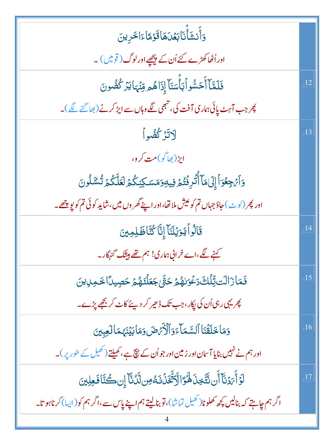| وَأَنشَأَنَابَعُلَهَاقَوۡمَاءَاخَرِينَ                                                                                  |     |
|-------------------------------------------------------------------------------------------------------------------------|-----|
| اور اُٹھاکھڑے کئے اُن کے پیچھپے اورلوگ ( قویس ) ۔                                                                       |     |
| فَلَمَّآ أَحَسُّواۡبَأَسَنَآ إِذَاهُمِ مِّنۡهَايَزۡ كُضُونَ                                                             | .12 |
| پھر جب آہٹ پائی ہماری آفت کی، تبھی لگے وہاں سے ای <sup>ر</sup> کرنے (بھا گئے لگے)۔                                      |     |
| <u>لاتز كُفُواً</u>                                                                                                     | .13 |
| ايڑ(بھاگو)مت کرو،                                                                                                       |     |
| وَٱنْجِعُوَٱإِلَىٰهَاۤ أَنَّرِفَتُمۡ فِيهِوَمَسَكِنِكُمۡ لَعَلَّكُمۡ تُسَّلُونَ                                         |     |
| اور پھر (لو <sub>ٹ</sub> ) جاؤ جہاں تم کو عیش ملائھا،اور اپنے گھر وں میں،شاید کو ئی تم کو پو پ <u>چھ</u> ے۔             |     |
| قَالُواْيَوَيُلَنَآ إِنَّا كُنَّاظَلِمِينَ                                                                              | .14 |
| کہنے لگے،اے خرانی ہماری! ہم تھے بیشک گنہگار۔                                                                            |     |
| فَمَازَالَت تِّلْكَ دَعُوَلِهُمْ حَتَّى جَعَلْنَهُمْ حَصِيدًا خَمِلِينَ                                                 | .15 |
| چریہی رہی اُن کی پکار، جب تک ڈھیر کر دیئے کاٹ کر بچھ پڑے۔                                                               |     |
| وَمَا خَلَقْنَا ٱلسَّمَآءَوَٱلۡكُّرۡضَ وَمَابَيۡنَهُمَالَعِبِينَ                                                        | .16 |
| اور ہم نے نہیں بنایا آسان اور زمین اور جو اُن کے ن <del>یچ</del> ہے،کھیلتے (کھیل کے طور پر)۔                            |     |
| ڶٳؘٲٛٙ؆ؘٲۜڶۘ؈ۨؾۜڂؚۮؘۿؙٷؘٳٳۜۮۜؾۜۘڂؘۮؘۘٮٮؘؘڡ۠ڝڷۜڷؙڵۜٳٳڹ؎ؗ۠ڐؘٵڡؘۼڶؚؾ                                                       | .17 |
| اگر ہم چاہتے کہ بنالیں <u>پ</u> چھ کھلونا( کھیل تماشا)،قوبنال <mark>یتے</mark> ہم اپنے پاس سے،اگر ہم کو(ایبا)کرناہو تا۔ |     |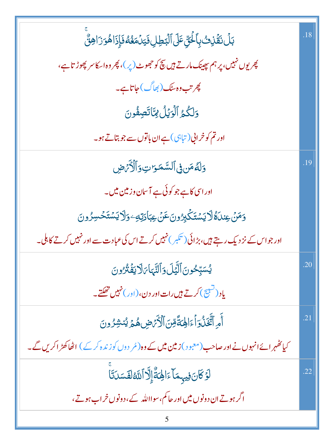| بَلۡ نَقۡزِتُ بِٱلۡـٰٓئِ عَلَى ٱلۡبَطِلِۥنَيۡلُمَغُهُۥنَٳِٰذَاهُوَۚ زَاهِنٌّ                                  | .18 |
|---------------------------------------------------------------------------------------------------------------|-----|
| پھریوں نہیں، پر ہم بھینک مارتے ہیں بچ کو حجھوٹ ( <sub>پی</sub> ر)، پھر وہ اسکاسر پھوڑتاہے،                    |     |
| پھر تب وہ یں (بھاگ) جاتا ہے۔                                                                                  |     |
| وَلَكُمُ ٱلْوَيْلُ لِمَّاتَصِفُونَ                                                                            |     |
| اور تم کو خرانی (تباہی) ہے ان باتوں سے جو بتاتے ہو۔                                                           |     |
| وَلَّهُ مَن فِى ٱلسَّمَرَاتِ وَٱلْأَرَضِ                                                                      | .19 |
| اور اسی کاہے جو کوئی ہے آسان وزمین میں۔                                                                       |     |
| <u>و</u> َمَنۡ عِندَاهُ لَا يَسۡتَكۡبِرُونَ عَنۡ عِبَادَتِهِۦوَلَا يَسۡتَحۡسِرُونَ                            |     |
| اور جو اس کے نز دیک رہتے ہیں، بڑائی ( تکبر ) نہیں کرتے اس کی عبادت سے اور نہیں کرتے کا ہلی۔                   |     |
| <i>ؽ</i> ۠ڛۜٙڹؚڂۏڹؘٲڵؽٙڶۏٲڶڹٞؠٵ؆ڶٳؾڡ۬ٞٮؙ۠ۯۏڹ                                                                  | .20 |
| یاد (تشبیح) کرتے ہیں رات اور دن، ( اور ) نہیں تھکتے۔                                                          |     |
| أُمِ ٱتَّخَلُوٓ أَءَالِهَةَّصِّ ٱلْأَمَّاضِ هُمۡ يُنشِرُونَ                                                   | .21 |
| کیا <i>کھہر</i> ائےانہوں نے اور صاحب (معبود ) <b>زمین میں</b> کے وہ (مُر دوں کو زندہ کرکے ) اٹھاکھڑ اکریں گے۔ |     |
| لَوۡ كَانَ فِيهِمَآ ءَالِهَةُّ إِلَّآ ٱللَّهُ لَفَسَلَنَّآ                                                    | .22 |
| اگر ہوتے ان دونوں میں اور حاکم، سوااللہ کے، دونوں خراب ہوتے،                                                  |     |
|                                                                                                               |     |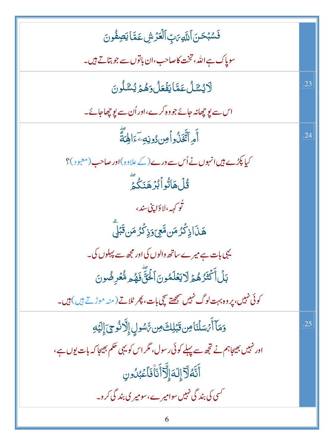| فَسُبۡحَنَ ٱللَّهِىَٰتِ ٱلۡعَزۡشِ عَمَّا يَصِفُونَ                                |     |
|-----------------------------------------------------------------------------------|-----|
| سویاک ہے اللہ، تخت کاصاحب،ان باتوں سے جو بتاتے ہیں۔                               |     |
| ڵۯؽۺ <i>ٙ</i> ڷؙ؏ؘڡۜٙٵؾڡؙٙۼڷۏۿۿۯؽۺڷڵۄڹ                                            | .23 |
| اس سے یو چھانہ جائے جو وہ کرے،اور اُن سے یو چھاجائے۔                              |     |
| أَمِ ٱتَّخَذُواْصِ دُونِهِ َءَالِهَةَّ                                            | .24 |
| کیا پکڑے ہیں انہوں نے اُس سے ورے (کے علاوہ )اور صاحب (معبود )؟                    |     |
| <u>ٷؙڶ</u> ۿٲ <i>ڐ۠</i> ۅٲڹ۠ۯۿؘٮؘؘػ۠ؽؖٙ                                           |     |
| ن <sup>ۇ</sup> ر <sub>ك</sub> هە،لادَا پنى سند،                                   |     |
| ۿٙۮؘٲۮٟػۘ۠ۯ۠ڡؘۜڽڡؓۼؽٙۏۮٟػۘۯ۠ڡؘڹۨۨۊ۬ۜؖڋڸؖ                                          |     |
| یہی بات ہے میرے ساتھ والوں کی اور مجھ سے پہلوں کی۔                                |     |
| بَلۡ أَكۡثَرُهُمۡ لَايَعۡلَمُونَ ٱلۡخَنَّ ۚ فَهُم مُّعۡرِضُونَ                    |     |
| کوئی نہیں، پر وہ بہت لوگ نہیں سمجھتے سچی بات، پھر ٹلاتے (منہ موڑتے ہیں) ہیں۔      |     |
| وَمَآ أَيْسَلۡنَامِن قَبَٰلِكَ مِن رَّسُولِ إِلَّا ذُوحِ ٓ إِلَيۡهِ               | .25 |
| اور نہیں بھیجاہم نے تجھ سے پہلے کوئی رسول، مگر اس کو یہی حکم بھیجا کہ بات یوں ہے، |     |
| <u>ٲ</u> ؿؖڡ۠ٳۜٙڒٳڷڡؘٳٳۨؖڐٲؘٮؘٵۨڣؘٲۼؠ۠ٮؗٛۏڹ                                       |     |
| کسی کی بند گی نہیں سوامیر ے،سومیر ی بند گی کرو۔                                   |     |
| 6                                                                                 |     |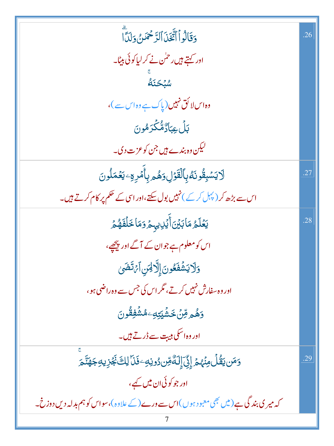| وَقَالُواْ أَتَّقَدْ ٱلرَّحْمَنُ وَلَدَّا                                                  | .26 |
|--------------------------------------------------------------------------------------------|-----|
| اور <del>کہتے ہی</del> ں رحمٰن نے کر لیاکوئی بیٹا۔                                         |     |
| .<br><i>شبكتة</i>                                                                          |     |
| وہ اس لا کق نہیں (پاک ہے وہ اس سے )،                                                       |     |
| بَلۡ عِبَادٌمٌ۠كَّرَمُونَ                                                                  |     |
| لیکن وہ بندے ہیں جن کو عزت دی۔                                                             |     |
| ڷٳؾۺڹؚڦۢۅٮؘڡ۠ؠؚٲڶڨٙؗۯٙڸۥۄؘۿ۠ۄۑؚٲٚڡؙڔڡۣۦؾڡ۬ڡؘڶۅڹ                                            | .27 |
| اس سے بڑھ کر (پہل کر کے ) نہیں بول سکتے،اور اسی کے حکم پر کام کرتے ہیں۔                    |     |
| <b>يَعۡلَمُ مَاۤبَيۡنَ</b> ٲٛؽۡڸڛؠۿٙۯڡؘڡ <b>ٲڂڶڡؘ۫ۿ</b> ۠ۿ                                 | .28 |
| اس کومعلوم ہے جوان کے آگے اور پیچھے،                                                       |     |
| وَلَا يَشُفَعُونَ إِلَّالِهَنِ ٱمْ تَضَىٰ                                                  |     |
| اور وہ سفارش نہیں کرتے، مگر اس کی جس سے وہ راضی ہو،                                        |     |
| ۯۿ۠ۄڡؚۨڽؘٛڂۺۘٛٞێؚؾؚڮۦڡ۠ۺۘٛڣؚڦۢٛۅڹؘ                                                         |     |
| اور وہ اسکی ہیت سے ڈر تے ہیں۔                                                              |     |
| <u>و</u> َمَن يَقُلُ مِنْهُمْ إِنِّيَ إِلَهٌ مِّن دُونِهِ ۖ فَنَا لِكَ نَجُزِيهِ جَهَنَّمَ | .29 |
| اور جو کوئی ان میں کہے ،                                                                   |     |
| کہ میر کی بند گی ہے ( میں بھی معبود ہوں )اس سے ورے (کے علاوہ )، سواس کو ہم بدلہ دیں دوزخ۔  |     |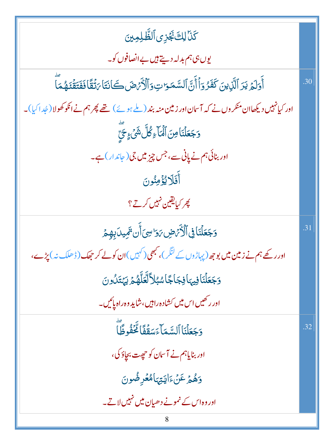| كَنَا لِكَ تَجْزِى ٱلظَّلِمِينَ                                                                                 |     |
|-----------------------------------------------------------------------------------------------------------------|-----|
| یوں ہی ہم بدلہ دیتے ہیں بے انصافوں کو۔                                                                          |     |
| أَوَلَمُ يَرَ ٱلَّذِينَ كَفَرُوَٱأَنَّ ٱلسَّمَوَاتِ وَٱلْأَرۡصَٰلَےَانَتَا يَتۡقَاٰ فَفَتَقۡنَـهُمَا            | .30 |
| اور کیانہیں دیکھاان منکر وں نے کہ آسان اور زمین منہ بند (ملے ہوئے) تھے پھر ہم نے انکو کھولا (عُدا کیا)۔         |     |
| وَجَعَلْنَاصِنَ ٱلْمَاءِكُلَّ شَيْءٍ حَيَّ                                                                      |     |
| اور بنائی ہم نے پانی سے، جس چیز میں جی ( جاندار ) ہے۔                                                           |     |
| أَفَلَا يُؤْمِنُونَ                                                                                             |     |
| پھر کیا <u>بقین</u> نہیں کرتے ؟                                                                                 |     |
| وَجَعَلْنَا فِى ٱلْأَرْضِ بَوَاسِىَ أَن تَمِيدَ بِهِمْ                                                          | .31 |
| اور رکھے ہم نے <b>زمین میں بوج</b> ھ (پہاڑوں <sup>کے لنگ</sup> ر)، کبھی ( کہیں )ان کو لے کر جھک (ڈھلک نہ ) پڑے، |     |
| وَجَعَلْنَافِيهَافِجَاجًاسُبُلاَّلَّعَلَّهُمۡ يَهۡتَدُونَ                                                       |     |
| اور رکھیں اس میں کشادہ راہیں،شاید وہ راہ پائیں۔                                                                 |     |
| وَجَعَلْنَا ٱلسَّمَآءَسَقُفًا لَّحَفُوظًآ                                                                       | .32 |
| اور بنایاہم نے آسان کو حیجت بجاؤ کی،                                                                            |     |
| دَهُمْ عَنْءَايَتِهَامُعُرِضُونَ                                                                                |     |
| اور وہ اس کے نمونے دھیان میں نہیں لاتے۔                                                                         |     |
| 8                                                                                                               |     |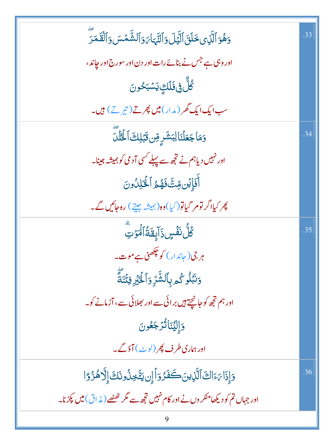| وَهُوَ ٱلَّذِى خَلَقَ ٱلَّيَٰلَ وَٱلنَّهَا وَٱلشَّمَسَ وَٱلْقَمَرَ              | .33 |
|---------------------------------------------------------------------------------|-----|
| اور وہی ہے جس نے بنائے رات اور دن اور سورج اور جاند ،                           |     |
| ڴڵٞ؋ۣ <b>ۏؘڶ</b> ؘڶڰؚۣؾۺڹػۅڽ                                                    |     |
| سب ایک ایک گھر ( مدار ) میں پھرتے ( تیر تے ) ہیں۔                               |     |
| وَمَاجَعَلْنَالِبَشَرِ مِّن قَبَلِكَ ٱلْخُلْلَ                                  | .34 |
| اور نہیں دیاہم نے تجھ سے پہلے <i>کس</i> ی آدمی کو ہمیشہ جینا۔                   |     |
| أَفَإِيْنِ مِّتَّ فَهُمُ ٱلْخَلِلُونَ                                           |     |
| چر کیااگر تومر گیاتو( کیا)وہ( ہمیشہ جیتے ) رہ <i>جائیں گے۔</i>                  |     |
| ڴڵؙٮ <i>۬ڨؙٞ</i> ڛۣۮؘٳۜؠؚڦؘۊ۠ٲٱؗٮۡڗؾؖ                                           | .35 |
| ہر جی(جاندار) کو چکھنی ہے موت۔                                                  |     |
| و <i>َنْبَلُو كُم</i> ْ بِٱلشَّّرِّ وَٱلٰۡٓئِيۡ فِتۡنَةً                        |     |
| اور ہم تجھ کو جانچتے ہیں بر ائی سے اور بھلائی سے ، آزمانے کو۔                   |     |
| وَإِلِيَّنَانُّزَجَعُونَ                                                        |     |
| اور ہماری طرف پھر (لوٹ) آؤگے۔                                                   |     |
| وَإِذَا مَءَاكَ ٱلَّذِينَ كَفَرُوَأَإِن يَتَّخِذُونَكَ إِلَّا هُزُوًا           | .36 |
| اور جہاں تم کو دیکھامنکر وں نے اور کام نہیں تجھ سے مگر ٹھٹھے ( مذاق) میں پکڑنا۔ |     |
|                                                                                 |     |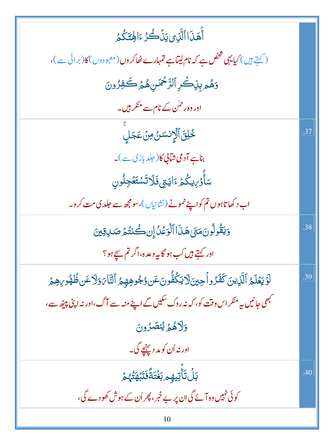| ٲۜۿٙڹؘٳٳٱڷڕؠؾۨڹ۬ۘٛؗڴڒٵؚڣؾؘػ۠ۮ                                                                                                        |     |
|--------------------------------------------------------------------------------------------------------------------------------------|-----|
| ( کہتے ہیں ) کیا یہی شخص ہے کہ نام لیتا ہے تمہارے ٹھاکر وں ( معبو دوں ) کا (بر ائی سے )،                                             |     |
| وَهُمْ بِنِكْرِ ٱلرَّ <sup>حْ</sup> مَنِ هُمۡ كَٰفِرُونَ                                                                             |     |
| اور وہ رحمٰن کے نام سے منکر ہیں۔                                                                                                     |     |
| <u>ػ۠ڸ</u> ۜ۬ؾٙ۩ٳڷٳٮٚۺؽۄؽؘ؏ؘڿڸٟؗ                                                                                                     | .37 |
| بناہے آدمی شانی کا (جلد بازی سے)۔                                                                                                    |     |
| سَأَوۡرِيكُمۡ ءَايَتِي <b>فَ</b> لَاتَسۡتَعۡجِلُونِ                                                                                  |     |
| اب د کھاتاہوں تم کواپنے نمونے (نشانیاں)، سومجھ سے جلد کی مت کرو۔                                                                     |     |
| وَيَقُولُونَ مَتَىٰ هَذَا ٱلْوَعْدُ إِن كُنتُمَ صَلاِقِينَ                                                                           | .38 |
| اور کہتے ہیں کب ہو گا یہ وعدہ،اگر تم سچے ہو؟                                                                                         |     |
| لَوۡيَعۡلَمُ ٱلَّذِينَ كَفَرُواۡجِينَلَايَكُفُّونَ٤عَن وُجُوهِهِمُ ٱلنَّامَ وَلَاعَن ظُهُو ِهِمۡمَّ                                  | .39 |
| <sup>کب</sup> ھی جانیں ہی <sup>منک</sup> ر اس وقت کو، کہ نہ روک <sup>سک</sup> یں گے اپنے منہ سے آگ، اور نہ اپنی پی <sub>ٹھ</sub> سے، |     |
| والاهْمْ يُنصَرُونَ                                                                                                                  |     |
| اور نه اُن کو مد دیپنیچے گی۔                                                                                                         |     |
| ڹڵ <i>ڐ</i> ٲ۠ؾؠۿ۪ۄڹۼ۫ؾؘڐۘٞڣؘؾ <i>ڹٞۿڋ۠ۮ</i>                                                                                         | .40 |
| کوئی نہیں وہ آئے گی ان پر بے خبر ، پھر اُن کے ہوش کھو دے گی،                                                                         |     |
| 10                                                                                                                                   |     |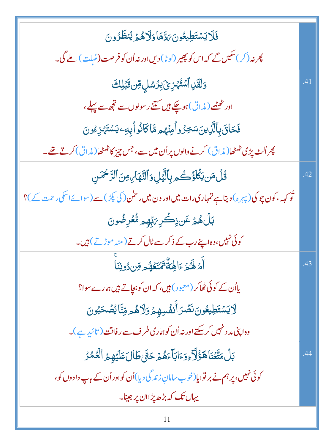| فَلَايَسْتَطِيعُونَ بَدَّهَا وَلَاهُمْ يُنظَرُونَ                                                   |     |
|-----------------------------------------------------------------------------------------------------|-----|
| پھر نہ (کر) سکیں گے کہ اس کو پھیر ( <sup>ل</sup> وٹا) دیں اور نہ اُن کو فر صت (مُبلت ) ملے گی۔      |     |
| <u>وَلَقَلِ</u> ٱسۡتُهۡزِیۡۚ بِرُسُلِ مِّن ثَبَٰلِكَ                                                | .41 |
| اور ٹھٹھے (مذاق)ہو چکے ہیں کتنے رسولوں سے تجھ سے پہلے،                                              |     |
| فَحَاقَ بِٱلَّذِينَسَخِرُواْمِنۡهُم مَّاكَانُواۡبِهِۦيَسۡتَہۡزِءُونَ                                |     |
| پھر اُلٹ پڑی ٹھٹھا( م <i>ذ</i> اق) کرنے والوں پر اُن میں سے، جس چیز کا ٹھٹھا( مذاق) کرتے تھے۔       |     |
| قُلْ مَن يَكُلَّؤُكُم بِٱلَّيَٰلِ وَٱلتَّهَاٰ بِهِنَ ٱلرَّحْمَٰنِ                                   | .42 |
| ٹو کہہ، کون چوکی( پہرہ) دیتاہے تمہاری رات میں اور دن میں رحمٰن ( کی پکڑ ) سے (سوائے اسکی رحمت کے )؟ |     |
| بَلۡ هُمۡ عَن ذِكۡرِ ۗ بِتِّهِم مُّعۡرِضُونَ                                                        |     |
| کوئی نہیں،وہ اپنے رب کے ذکرسے ٹال کرتے (منہ موڑتے) ہیں۔                                             |     |
| أَمَ لَهُمَ ءَالِهَةٌ يُمۡنَعُهُم مِّن دُونِنَا                                                     | .43 |
| یااُن <i>کے ک</i> وئی ٹھاکر (معبود) ہیں، کہ ان کو ب <u>حا</u> تے ہیں ہمارے سوا؟                     |     |
| ڶٳؾۺؾؘڟٟ <b>ۘۘۑڠ</b> ۅڹ <b>ؘٮؘٛڞ</b> ؘڗٲٛٮ۫ڡٛ۠ڛۿؚؽٙ؋ڶٳۿۄڡؚۨڹؓٵؽ۠ڞؙڂڹ۠ۅڹ                             |     |
| وہ اپنی مد د نہیں کرسکتے اور نہ اُن کو ہماری طرف سے رفاقت ( تائید ہے )۔                             |     |
| بَلۡ مَتَّعۡنَاهَؤُلَّا ۚ وَءَابَآ ءَهُمۡ حَتَّىٰ طَالَ عَلَيۡهِمُ ٱلۡعُمُرُ                        | .44 |
| کوئی نہیں، پر ہم نے بر توایا(خوب سامانِ زند گی دیا)اُن کواور اُن کے باپ دادوں کو،                   |     |
| یہاں تک کہ بڑھ پڑاان پر جینا۔                                                                       |     |
| 11                                                                                                  |     |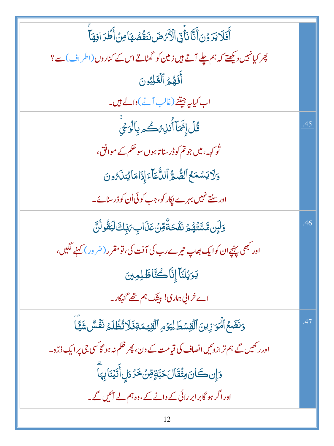| ٱفَلَا يَرَوۡنَ أَنَّا نَأۡیَىٰٓ ٱلۡأَرۡهَضَ نَنَقُصُهَامِنۡ أَطۡرَافِهَآ             |     |
|---------------------------------------------------------------------------------------|-----|
| پھر کیانہیں دیکھتے کہ ہم چلے آتے ہیں زمین کو گھٹاتے اس کے کناروں (اطراف) سے ؟         |     |
| أَفَهُمُ ٱلْعَلِبُونَ                                                                 |     |
| اب کیایہ جیتنے (غالب آنے)والے ہیں۔                                                    |     |
| <b>قُلِّ إِنَّمَآ أُنذِ ُ كُ مِ بِٱلْوَجَى</b>                                        | .45 |
| ٹو <sub>کہہ</sub> ، میں جو تم کو ڈرسنا تاہوں سو حکم کے موافق ،                        |     |
| وَلَا يَسْمَعُ ٱلصُّمُّ ٱلنُّمَآءَ إِذَامَا يُنلَمُونَ                                |     |
| اور سنتے نہیں بہرے پکار کو، جب کوئی اُن کو ڈرسنائے۔                                   |     |
| <u>و</u> َلَبِنِ مَّسَّتَّهُمُ نَفَّحَةٌّقِنۡ عَذَابِ يَبِّكَ لَيَقُولُنَّ            | .46 |
| اور <sup>مب</sup> ھی پہنچےان کوایک بھاپ تیرے رب کی آفت کی، تو مقرر (ضرور) کہنے لگیں،  |     |
| يَوَيُلَنَآ إِنَّا كُنَّاظَلِمِينَ                                                    |     |
| اے خرانی ہماری! بیٹک ہم تھے گنہگار۔                                                   |     |
| وَنَضَعُ ٱلۡمَوَازِينَ ٱلۡقِسۡطَ لِيَوۡمِ ٱلۡقِيَمَةِفَلَاتُٰطَٰلَمُ نَفۡسٌ شَيِّّآ   | .47 |
| اور رکھیں گے ہم تر از دئیں انصاف کی قیامت کے دن، پھر ظلم نہ ہو گا کسی جی پر ایک ذرّہ۔ |     |
| دَإِن كَانَ مِثْقَالَ حَبَّةٍ مِّنْ خَزْدَلٍ أَتَيْنَابِهَا                           |     |
| اور اگر ہو گابر ابر رائی کے دانے کے ،وہ ہم لے آئیں گے۔                                |     |
|                                                                                       |     |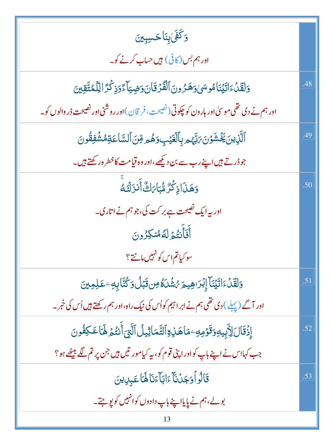| وَكَفَىٰ بِنَاكَسِبِينَ                                                                  |     |
|------------------------------------------------------------------------------------------|-----|
| اور ہم بس (کافی) ہیں حساب کرنے کو۔                                                       |     |
| وَلَقَلْءَاتَيۡنَامُوسَىٰوَهَزُونَ ٱلۡفُرۡقَانَ وَضِيَاۡءَوَذِكۡرَ اللَّهُمَّّقِينَ      | .48 |
| اور ہم نے دی تھی موسیٰ اور ہارون کو چکوتی(نصیحت، فر قان)اور روشنی اور نصیحت ڈر والوں کو۔ |     |
| ٱلَّزِينَ يَخۡشَوۡنَ ىَٰٓبَهُمۡ بِٱلۡغَيۡبِ وَهُمۡ مِّنَ ٱلسَّاعَةِمُشۡفِقُونَ           | .49 |
| جوڈر تے ہیں اپنے رب سے بن دیکھے،اور وہ قیامت کاخطرہ رکھتے ہیں۔                           |     |
| وَهَذَاذِكُرٌ مُّبَابَاتٌ أَنزَلْتَهُ                                                    | .50 |
| اور پہ ایک نصیحت ہے بر کت کی، جو ہم نے اتاری۔                                            |     |
| أَفَأَنتُمُ لَهُ مُنكِرُونَ                                                              |     |
| سو کیاتم اس کو نہیں مانتے؟                                                               |     |
| وَلَقَلْءَاتَيْنَا إِبْرَاهِيمَ رُشُلَهُ مِن قَبْلُ وَكُنَّا بِهِ عَلِمِينَ              | .51 |
| اور آگے (پہلے ) دی تھی ہم نے ابر اہیم کواُس کی نیک راہ،اور ہم رکھتے ہیں اُس کی خبر ۔     |     |
| إِذۡقَالَ لِأَبِيهِوَقَوۡمِهِۦمَاهَنِوَالتَّمَاثِيلُ ٱلَّتِىٓ أَنتُمۡ لَهَاعَكِفُونَ     | .52 |
| جب کہااس نے اپنے باپ کواور اپنی قوم کو، یہ کیامور تیں ہیں جن پر تم لگے بیٹھے ہو؟         |     |
| قَالُواْوَجَدُنَاْءَابَاْءَنَاهَاْعَبِدِينَ                                              | .53 |
| بولے،ہم نے پایااپنے باپ دادوں کوانہیں کو پوچتے۔                                          |     |
| 13                                                                                       |     |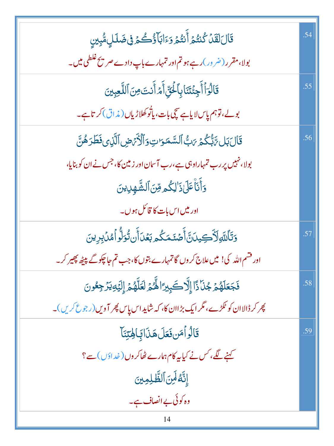| قَالَ لَقَلْ كُنتُمَ أَنتُمُ وَءَابَآؤُكُمُ فِى ضَلَلٍ مُّبِينِ                  | .54 |
|----------------------------------------------------------------------------------|-----|
| بولا،مقرر ( ضر ور )رہے ہو تم اور تمہارے باپ دادے صر پح غلطی میں۔                 |     |
| قَالُوَٱأَجِئۡتَنَابِٱلۡئِنِّاۚأَمَرَ أَنتَ مِنَ ٱللَّعِبِينَ                    | .55 |
| بولے،توہم پاس لایاہے سچی بات، پاتُو کھلاڑیاں (مذاق) کر تاہے۔                     |     |
| قَالَ بَل تَّ تُكُمۡ يَبُّ ٱلسَّمَوَاتِ وَٱلۡكَٰٓ ۚ ضِ ٱلَّذِى فَطَرَهُنَّ       | .56 |
| بولا، نہیں پر رب تمہاراوہی ہے،رب آسان اور زمین کا، جس نے ان کو بنایا،            |     |
| وَأَنَاْعَلَىٰذَ ٰلِكُمِ مِّنَ ٱلشَّهْلِدِينَ                                    |     |
| اور میں اس بات کا قائل ہوں۔                                                      |     |
| <b>وَتَأَلَّلَهِ لَأَكِيدَنَّ أَصْنَمَكُم بَعُ</b> دَأَن تُوَلُّو أَمُدْبِرِينَ  | .57 |
| اور فشم الله کی! میں علاج کر وں گا تمہارے بتوں کا،جب تم حاچکو گے پیٹھ پھیر کر۔   |     |
| فَجَعَلَهُمْ جُنَّا ذَا إِلَّا كَبِيرًا لِّهُمْ لَعَلَّهُمْ إِلَيْهِ يَرْجِعُونَ | .58 |
| پھر کر ڈالاان کو ٹکڑے، مگر ایک بڑاان کا، کہ شاید اس پاس پھر آویں(رجوع کریں)۔     |     |
| قَالُواْمَن فَعَلَ هَذَا بَالِحِيّنَا                                            | .59 |
| کہنے لگے، کس نے کیا یہ کام ہمارے ٹھاکروں (خداؤں) سے ؟                            |     |
| إِنَّهُ لَمِنَ ٱلظَّلِمِينَ                                                      |     |
| وہ کوئی بے انصاف ہے۔                                                             |     |
| 14                                                                               |     |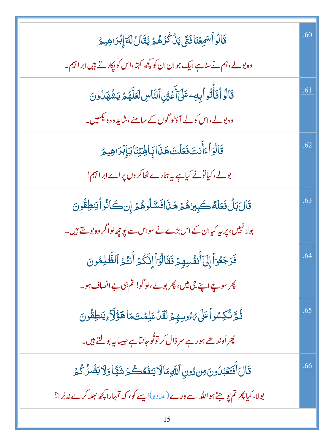| قَالُواْسَمِعۡنَافَتَى يَنۡكُرُهُمۡ يُقَالُ لَمَّ إِبۡرَاهِيمُ                          | .60 |
|-----------------------------------------------------------------------------------------|-----|
| وہ بولے، ہم نے سناہے ایک جوان ان کو کچھ کہتا،اس کو پکارتے ہیں ابراہیم۔                  |     |
| قَالُواْفَأَتُواْيِهِۦعَلَىٰٓأَعۡيُنِٱلتَّاسِ لَعَلَّهُمۡ يَشۡهَدُونَ                   | .61 |
| وہ بولے،اس کولے آؤلو گوں <sup>کے</sup> سامنے،شاید وہ دیکھیں۔                            |     |
| قَالُوَاۡ ءَأَنتَ فَعَلۡتَ هَنَائِبَاهِٰتِنَا يَاۡإِبَرَاهِيمُ                          | .62 |
| بولے، کیاتونے کیاہے یہ ہمارے ٹھاکروں پراےابراہیم!                                       |     |
| قَالَ بَلْ فَعَلَهُ كَبِيرُهُمْ هَذَافَسَّلُوهُمْ إِن كَانُواً يَنطِقُونَ               | .63 |
| بولانہیں، پر یہ کیاان کے اس بڑے نے سواس سے پوچھ لواگر وہ بولتے ہیں۔                     |     |
| فَرَجَعُوَا إِلَىٰٓأَنفُسِهِمۡ فَقَالُوَاۚ إِنَّكُمۡ أَنتُمُ ٱلظَّٰلِمُونَ              | .64 |
| پھر سو چے اپنے جی میں، پھر بولے،لوگو! تم ہی بے انصاف ہو۔                                |     |
| ثُمَّ نُكِسُواً عَلَىٰ مُ وُسِهِمْ لَقَلْ عَلِمۡتَ مَا هَؤُلَّآءِيَنطِقُونَ             | .65 |
| پھر اُوند ھے ہورہے سر ڈال کر توثُو جانتاہے حبیبا <sub>ن</sub> ے بول <del>تے ہی</del> ں۔ |     |
| قَالَ أَفَتَعَبُّلُونَ مِن دُونِ ٱللَّهِمَالَا يَنفَعُكُمۡ شَيًّا وَلَا يَضُرُّكُمۡ     | .66 |
| بولا، کیا پھر تم یو جتے ہو اللہ سے ورے (علاوہ)ایسے کو، کہ تمہارا پچھ بھلاکرے نہ بُرا؟   |     |
| 15                                                                                      |     |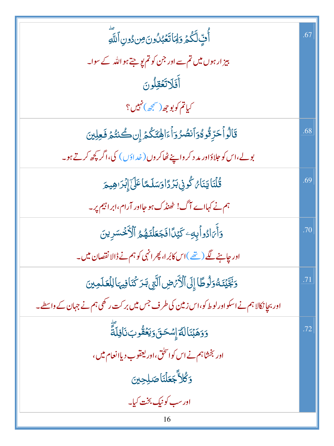| أَّفٍّ لَّكُمۡ وَلِمَا تَعۡبُلُونَ مِن دُونِ ٱللَّهِ                                    | .67 |
|-----------------------------------------------------------------------------------------|-----|
| بیز ارہوں میں تم سے اور جن کو تم ہو جتے ہو اللہ کے سوا۔                                 |     |
| أَفَلَاتَعُقِلُونَ                                                                      |     |
| كياتم كوبوجھ (سمجھ) نہيں؟                                                               |     |
| قَالُواْحَرِّقُوەُوَاْنصُرُوَاْءَالِهَتَكُمَّ إِن كُنتُمَ فَعِلِينَ                     | .68 |
| بولے،اس کو حلاؤاور مد د کر واپنے ٹھاکروں( خداؤں) کی،اگر کچھ کرتے ہو۔                    |     |
| <i>ۊٞٛ</i> ڷڹؘٳؾڹٙٲ <i>ڹ</i> ػ۠ۅڹۣٛڹۯٙڐٳۏؘۺڷػٲػؘڶۣٙٳٙڹٛۯ؈ؚۑۄؘ                           | .69 |
| ہم نے کہااے آگ! ٹھنڈک ہو جااور آرام،ابراہیم پر۔                                         |     |
| وَأَمَ ادُواْبِهِ كَيْدًا فَجَعَلْنَهُمُ ٱلْأَخْسَرِينَ                                 | .70 |
| اور چاہنے لگے (تھے )اس کابُرا، پھر انہی کو ہم نے ڈالا نقصان میں۔                        |     |
| وَنَجَّيْنَهُ وَلُوطًا إِلَى ٱلْأَرْصِ ٱلَّتِي بَرَكْنَا فِيهَا لِلْعَلَمِينَ           | .71 |
| اور بجانکالا ہم نے اسکواور لوط کو،اس زمین کی طرف جس میں بر کت رکھی ہم نے جہان کے واسطے۔ |     |
| وَوَهَبۡنَالَمَّۚۤإِسۡحَنَ وَيَعۡقُوبَنَافِلَةً ۚ                                       | .72 |
| اور بخشاہم نے اس کوانحق،اور یعقوب دیاانعام میں ،                                        |     |
| وَكُلاَّجَعَلْنَاصَلِحِينَ                                                              |     |
| اور سب کو نیک بخت کیا۔                                                                  |     |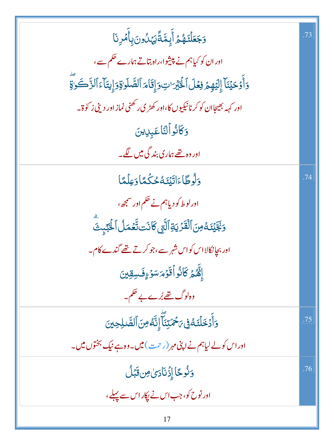| وَجَعَلْنَهُمُ أَبِمَّةًيَهَلُونَ بِأَمْرِنَا                                              | .73 |
|--------------------------------------------------------------------------------------------|-----|
| اور ان کو کیاہم نے پیشوا،راہ بتاتے ہمارے حکم سے،                                           |     |
| دَأَوْحَيْنَآ إِلَيْهِمْ فِعُلَ الْكَبْرَاتِ وَإِقَامَ الصَّلَوٰةِ وَإِيتَآءَ الزَّكَوَاةِ |     |
| اور کہہ بھیجاان کو کرنانیکیوں کا،اور کھڑی رکھنی نماز اور دینی ز کو ۃ۔                      |     |
| وَكَانُواۡ لَّنَاۡ عَبِدِينَ                                                               |     |
| اور وہ <u>تھے</u> ہماری بند گی میں لگے۔                                                    |     |
| <u>و</u> َلُوطًاءَاتَيْنَهُ حُكْمًاوَعِلْمًا                                               | .74 |
| اورلوط کو دیاہم نے حکم اور سمجھ،                                                           |     |
| وَبَجَّيۡنَـٰهُ مِنَ ٱلۡقَدۡنِيَةِۚ ٱلَّتِي كَانَت تَّعۡمَلُ ٱلۡبَيۡبِتَ                   |     |
| ادر بجانکالااس کواس شہر سے،جوکرتے تھے گندے کام۔                                            |     |
| إِنَّهُمۡ كَانُواۡقَوۡمَسَوۡۚ وَفَسِقِینَ                                                  |     |
| وہ لوگ <u>تھے بُرے ب</u> ے حکم۔                                                            |     |
| <u>و</u> َأَدۡخَلۡنَـۡقُوۡیَ <i>نَحۡمَ</i> تِنَآۖ إِنَّهُ مِنَ ٱلصَّلِحِینَ                | .75 |
| اور اس کولے لیاہم نے اپنی مہر (رحمت) میں۔وہ ہے نیک بختوں میں۔                              |     |
|                                                                                            | .76 |
| <u>وَنُوحًا إِذْنَادىٰ مِن قَبَلُ</u>                                                      |     |
| اور نوح کو، جب اس نے ایکار اس سے پہلے ،                                                    |     |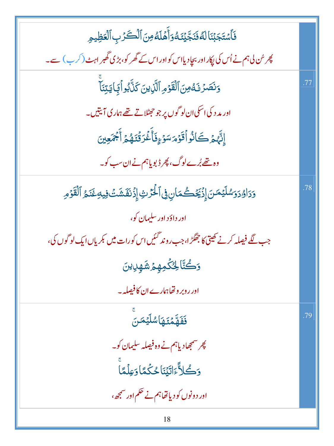| فَأَسْتَجَبْنَالَهُ فَنَجَّيْنَهُ وَأَهْلَهُ مِنَ ٱلْكَرْبِ ٱلْعَظِيمِ                  |     |
|-----------------------------------------------------------------------------------------|-----|
|                                                                                         |     |
| پھر سُن لی ہم نے اُس کی پکار اور بجاد یااس کواور اس کے گھر کو، بڑی گھبر اہٹ (کر ب) سے۔  |     |
| وَنَصَرُنَهُ مِنَ ٱلْقَوْمِ ٱلََّذِينَ كَذَّبُواْ بِجَايَتِنَاْ                         | .77 |
| اور مد د کی اسکی ان لو گوں پر جو حجٹلاتے تھے ہماری آیتیں۔                               |     |
| إِنَّهُمْ كَانُواْقَوْمَسَوْءٍفَأَغْرَقْنَهُمْ أَجْمَعِينَ                              |     |
| وہ تھے بُرے لوگ، پھر ڈبویاہم نے ان سب کو۔                                               |     |
| وَدَاوُدَوَسُلَيْمَنَ إِذْيَخَصُمَانِ فِى ٱلْحُرْثِ إِذْنَفَشَتُ فِيهِ غَنَمُ ٱلْقَوْمِ | .78 |
| اور داؤد اور سليمان کو،                                                                 |     |
| جب لگے فیصلہ کرنے کھیتی کا جھگڑ ا،جب روند گئیں اس کورات میں کمریاں ایک لو گوں کی،       |     |
| <b>ۯ</b> ۘڴؾ۠ۜٲڂؚ <i>ڴ</i> ۛڮڡٟۿؚؽٙۺٞۿٟڸؾڹؘ                                             |     |
| اور روبر وتھاہمارے ان کا فیصلہ ۔                                                        |     |
| فَفَهَّمْتَهَا شَلَّيْهَرِ.                                                             | .79 |
| چر سمجھادیاہم نے وہ فیصلہ سلیمان کو۔                                                    |     |
| وَكُلاًّءَاتَيۡنَاحُكُمَّاوَعِلۡمَّاً                                                   |     |
| اور دونوں کو دیاتھاہم نے حکم اور سمجھ،                                                  |     |
| 18                                                                                      |     |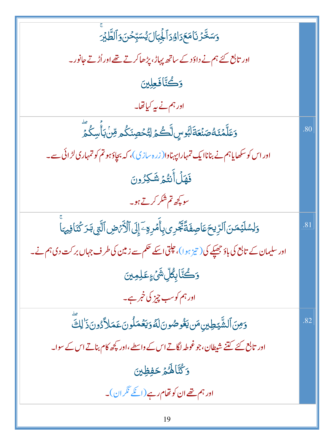| <u>وَ</u> سَخَّرۡ نَامَعَدَاوُدَٱلۡجِبَالَ يُسَبِّحۡنَ وَٱلطَّلِبَرَ                                        |     |
|-------------------------------------------------------------------------------------------------------------|-----|
| اور تابع کئے ہم نے داؤ دے ساتھ پہاڑ ، پڑھاکرتے تھے اور اُڑتے جانور۔                                         |     |
| وَكُتَّافَعِلِينَ                                                                                           |     |
| اور ہم نے پہ کیاتھا۔                                                                                        |     |
| <u>و</u> َعَلَّمۡنَـۡهُۖصَنۡعَةَلَبُوسٍ لَّـۡـُـۡمِ لِتُّحۡصِنَكُم مِّنۡ بَأَسِكُمَّ                        | .80 |
| اور اس کو سکھایاہم نے بناناا یک تمہاراپہناوا( زر ہ سازی)، کہ بچاؤہو تم کو تمہاری لڑ ائی سے۔                 |     |
| فَهَلْأَنتُمْ شَكِرُونَ                                                                                     |     |
| سویچھ تم شکر کرتے ہو۔                                                                                       |     |
| <u>وَلِ</u> سُلَيۡمَنَ ٱلرِّيۡحَ عَاصِفَةً يَّخۡرِى بِأَمۡرِوۡۖ إِلَى ٱلۡأَرۡمَضِ ٱلَّتِيۡ بَدَ كُنَافِيهَا | .81 |
| اور سلیمان کے تابع کی باؤ جھیکے کی( تیز ہوا)، چلتی اسکے حکم سے زمین کی طرف جہاں بر کت دی ہم نے۔             |     |
| ۅٙڪُٽَابِكُلِّ شَيۡءٍعَلِمِينَ                                                                              |     |
| اور ہم کوسب چیز کی خبر ہے۔                                                                                  |     |
| وَمِنَ ٱلشَّيْطِينِ مَن يَغُوصُونَ لَهُ وَيَعۡمَلُونَ عَمَلاً دُونَ ذَٰ لِكَ                                | .82 |
| اور تابع کئے گنٹے شیطان، جو غوطہ لگاتے اس کے واسطے،اور کچھ کام بناتے اس کے سوا۔                             |     |
| دَ كُنَّا لَهُمْ حَفِظِينَ                                                                                  |     |
| اور ہم تھے ان کو تھام رہے (ا <u>نکے</u> نگر ان)۔                                                            |     |
| 19                                                                                                          |     |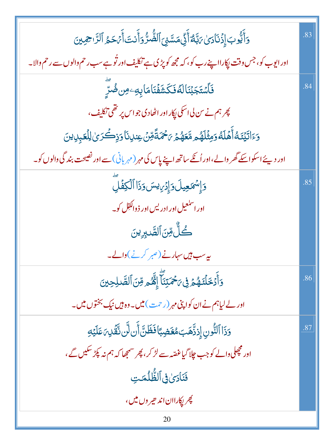| وَأَيُّوبَ إِذَنَادَىٰ بَبَّهُ أَنِّى مَسَّنِىَ ٱلضُّرُّ وَأَنتَ أَبَحَمُ ٱلرَّاحِمِينَ           | .83 |
|---------------------------------------------------------------------------------------------------|-----|
| اور ایوب کو، جس وقت پکارااپنے رب کو، کہ مجھ کو پڑی ہے تکلیف اور تُوہے سب رحم والوں سے رحم والا۔   |     |
| ڣؘٲ <i>ۺٙڿ</i> ڹۘٞڹؘٲڶ <i>؋ٞ</i> ڣؘػۺؘڣٞڹؘٲڡؘٲۑؚ <i>ڢؚ</i> ٶڹڞ۠ڗؚؖ                                | .84 |
| پھر ہم نے س لی اسکی پکار اور اٹھادی جو اس پر تھی تکلیف،                                           |     |
| وَءَاتَيْنَكُ أَهَلَكُ وَمِثْلَهُم مَّعَهُمْ يَحْمَةً مِّنْ عِندِنَا وَذِكْرَىٰ لِلْعَبِدِينَ     |     |
| اور دیئے اسکو اسکے گھر والے،اور اُنگے ساتھ اپنے پاس کی مہر (مہربانی)سے اور نصیحت بند گی والوں کو۔ |     |
| وَإِسْمَعِيلَ وَإِدْرِيسَ وَذَا ٱلْكِفَٰلِ                                                        | .85 |
| اور اسل <del>ع</del> یل اور ادریس اور ذ داکفِل کو۔                                                |     |
| كُلُّ مِّنَ ٱلصَّدِينَ                                                                            |     |
| یہ سب ہیں سہارنے (صبر کرنے)والے۔                                                                  |     |
| <u>و</u> َأَدۡخَلۡنَـٰهُمۡوۡ فِ <i>ؾۡ حَمَ</i> ّتِنَآۚ إِنَّهُمۡ مِّنَ ٱلصَّـٰلِحِينَ             | .86 |
| اور لے لیاہم نے ان کواپنی مہر (رحمت) میں۔وہ ہیں نیک بختوں میں۔                                    |     |
| <u>و</u> َذَا ٱلنُّونِ إِذِذَّهَبَ مُغَضِبًا فَظَنَّ أَن لَّن نَّقَٰنِ مَلَيْهِ                   | .87 |
| اور مچھلی دالے کو جب چلا گیاغصّہ سے لڑ کر ، پھر سمجھا کہ ہم نہ پکڑ سکیں گے ،                      |     |
| فَنَادَىٰ فِي ٱلظُّلُمَتِ                                                                         |     |
| <i>پھر پ</i> کاراان اند حیر وں میں،                                                               |     |
| 20                                                                                                |     |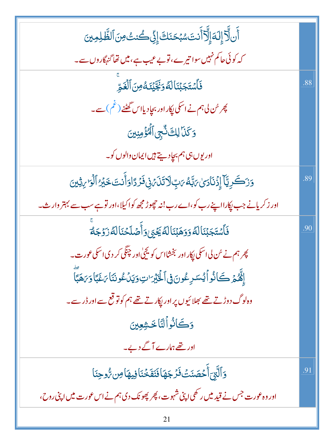| ٲۧڹڵۗڒٙٳ۪ڶؘ؋ٳ۪ڵۗڒٲؘڹؾؘۺڹ <sup>ۣ</sup> ڬڹؘڬٳ۪ڹۣٚٙڂٛڹٮ۠ٛۺؘٵڷڟؖڸڝؚؾ                                   |     |
|----------------------------------------------------------------------------------------------------|-----|
|                                                                                                    |     |
| کہ کوئی حاکم نہیں سوا تیرے، توبے عیب ہے، میں تھا گنہگاروں سے۔                                      |     |
| فَٱسۡتَجَبۡنَالَهُوَبَٰۖ ۖ يَٰٓنَكُ مِنَ ٱلۡغَوِّ                                                  | .88 |
| پھر سُن لی ہم نے اسکی <sub>ل</sub> پکار اور بجاٍدیااس گھٹنے (غم) سے۔                               |     |
| وَكَنَا لِكَ ثَّبِي ٱلۡكَٰٓؤَمِنِينَ                                                               |     |
| اور يوں ہی ہم بچاد سے ہيں ايمان والوں کو۔                                                          |     |
| <u>وَرَكَرِيَّآ إِزْنَارَىٰ</u> بَبَّهُ بَبِّ لَاتَذَبَنِى فَرَدًاوَأَنتَ خَيْرُ ٱلْوَارِيثِينَ    | .89 |
| اور زکریانے جب پکارااپنے رب کو،اے رب!ند چھوڑ مجھ کواکیلا،اور تو ہے سب سے بہتر وارث۔                |     |
| فَأَسۡتَجَبۡنَالَهُۚ وَوَهَبۡنَالَهُ يَخۡيَىٰوَأَصۡلَحۡنَالَهُۥزَوۡجَهُۥ                           | .90 |
| پھر ہم نے سُن لی اسکی <sub>ل</sub> پکار اور بخشااس کو یج <sub>ن</sub> گی اور چنگی کر دی اسکی عورت۔ |     |
| إِنَّهُمْ كَانُواً يُسَرِعُونَ فِى الْخَبْرَاتِ وَيَدَعُونَنَا بَخَبَا وَبَهَبَا                   |     |
| وہلوگ دوڑتے تھے بھلائیوں پر اور ایکار تے تھے ہم کو تو قع سے اور ڈر سے۔                             |     |
| دَكَانُوالِنَاخَشِعِينَ                                                                            |     |
| اور تھے ہمارے آگے دیے۔                                                                             |     |
| وَٱلَّتِيَٓ أَحۡصَنَتۡ فَرۡ جَهَاۡ فَنَفَخۡنَاۚ فِيهَا مِن رُّوحِنَا                               | .91 |
| اور وہ عورت جس نے قید میں ر <sup>کھ</sup> ی اپنی شہوت، پھر پھونک دی ہم نے اس عورت میں اپنی روح،    |     |
| 21                                                                                                 |     |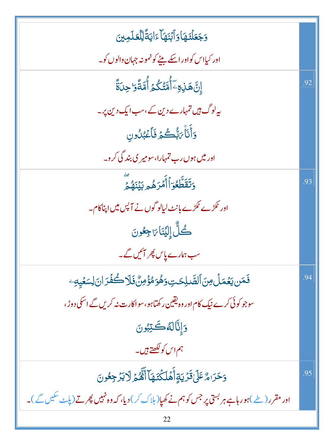| وَجَعَلْنَهَا وَأَبْنَهَا ءَايَةً لِلْعَلَمِينَ                                                      |     |
|------------------------------------------------------------------------------------------------------|-----|
| اور کیااس کواور اسکے بیٹے کو نمونہ جہان والوں کو۔                                                    |     |
| ٳڹ <mark>ؖۿ</mark> ٙڹ؋ۣۦؘٲؙۨڡۜؾؙػؙٛ۠ۿؘؚٲؙۨڡۜؾؙٙۏ <i>۬</i> ٳڿؚڹۜۊۘٞ                                   | .92 |
| بیہ لوگ ہیں تمہارے دین کے،سب ایک دین پر۔                                                             |     |
| <u>و</u> َأَنَاۨ؆ڹُّڪُمۡ فَٱعۡبُلُونِ                                                                |     |
| اور میں ہوں رب تمہارا، سومیر ی بند گی کر و۔                                                          |     |
| وَتَقَطَّعُوَٱأَمۡرَهُمۡ لِيَٰٓنَهُمۡ                                                                | .93 |
| اور <sup>ع</sup> کڑے <sup>ع</sup> کڑے بانٹ لیالو گوں نے آ پس میں اپناکام۔                            |     |
| كُلُّ إِلَيۡنَاٖ مَاجِعُونَ                                                                          |     |
| سب ہمارے پاس پھر ایمیں گے۔                                                                           |     |
| فَمَن يَعۡمَلۡ مِنَ ٱلصَّلِحَتِ وَهُوَمُؤۡ مِنٌ فَلَا كُفۡرَ انَ لِسَعۡيِهِۦ                         | .94 |
| سوجو کوئی کرے نیک کام اور وہ یقین رکھتاہو،سواکارت نہ کریں گے اسکی دوڑ ،                              |     |
| وَإِنَّالَهُكَّتِبُونَ                                                                               |     |
| ہم اس کو لکھتے ہیں۔                                                                                  |     |
| وَحَرَامٌ عَلَىٰقَرَٰيَةٍأَهَلَكۡنَمَآأَنَّهُمۡ لَايَرۡجِعُونَ                                       | .95 |
| اور مقرر ( طے )ہو رہاہے ہر بستی پر جس کو ہم نے کھیا( ہلاک کر )دیا، کہ وہ نہیں پھر تے (پاۓ سکیں گے )۔ |     |
|                                                                                                      |     |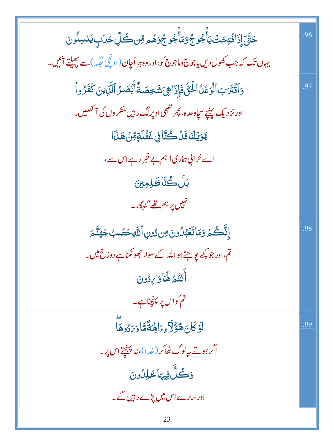*ڂۊ۠ۜ*ٙٳؘٳؘٳؘڶڡؙ۠ؾؚڂٮؙۛؾٲؘٛۼ۠ۅج۠ۏؘڡؘٲۜۼٛۅڿ۫ۏۿۄڡؚۨڽڴڸۨڂڷٮ۪ؾٮٚڛڵۏڽؘ .96 یہاں تک کہ جب کھول دیں یاجوج وماجوج کو،اور وہ ہر اُچان (اونچی جگہ) سے پھیلتے آئیں۔ وَٱقۡتَرَبَ ٱلۡوَعۡلُ ٱلۡخَنُّ فَإِذَاهِىَ شَخِصَتّْأَبۡصَٰرُ ٱلَّذِينَ كَفَرُواْ .97 اور نز د یک پنیچے سچاوعدہ، پھر تبھی اوپر لگ رہیں منکر وں کی آنکھیں۔ يَوَيُلَنَاقَدُكُنَّا فِي غَفُلَةٍ قِنْ هَذَا اے خرائی ہماری! ہم بے خبر رہے اس سے، بَلْ كُتَّاظَلِمِينَ نہیں پر ہم تھے گن<sub>اگ</sub>کار۔ إِنَّكُمۡ وَمَاتَعۡبُٰلُونَ مِن دُونِ ٱللَّٰهِ حَصَبُ جَهَنَّمَ .98 تم،اور جو پچھ یو جتے ہواللّٰہ کے سوا، جھونکناہے دوزخ میں۔ أَنتُمْ لَهَا وَاللَّهُ تم کواس پر پہنچناہے۔ <u>لَوۡ</u> كَانَ هَؤُلَّاءِءَالِهَةَّمَّا دَيَّدُوهَا .99 اگر ہوتے یہ لوگ ٹھاکر ( خدا)،نہ پہنچتے اس پر۔ وَكُلُّ فِيهَا خَلِلُونَ اور سارے اس میں پڑے رہیں گے۔ 23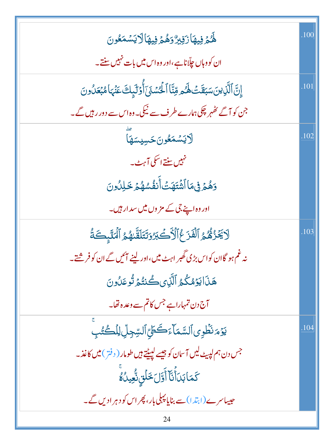|                                                                                       | .100 |
|---------------------------------------------------------------------------------------|------|
| ۿ <i>ػۮ</i> ۣڣۣۑۿٲڒؘڣۣڹڒٞۏۿ۠ؽٙ؋ۣۑۿٲڷٲؾۺڡؘڠۏڹ                                          |      |
| ان کووہاں چلّاناہے،اور وہ اس میں بات نہیں سنتے۔                                       |      |
| إِنَّ ٱلَّذِينَ سَبَقَتُ لَهُمِ وِّنَّا ٱلْحُسْنَىَ ٓأَوۡلَٰٓبِكَ عَنۡهَا مُبۡعَلُونَ | .101 |
| جن کو آگے ٹھُہر چکی ہمارے طرف سے نیکی۔وہ اس سے دور رہیں گے۔                           |      |
| ِ<br>لايَسۡمَعُونَکسِيسَهَا                                                           | .102 |
| مہیں سنتے اسکی آہٹ۔                                                                   |      |
| <u>وَهُمۡ فِى</u> مَاۤاتَّثَقِيَتِّاۤأَنفُسُهُمۡ خَلِلُونَ                            |      |
| اور وہ اپنے جی کے مز وں میں سد ار ہیں۔                                                |      |
| لَايَحْزُهُمُ ٱلْفَزَعُ ٱلْأَكْبُرُوَتَتَلَقَّاهُمُ ٱلْمَلَبِكَةُ                     | .103 |
| نہ غم ہو گاان کواس بڑی گھبر اہٹ میں،اور لینے ائیں گے ان کو فر شتے۔                    |      |
| هَذَايَوۡمُكُمُ ٱلََّزِى كُنتُمۡ تُوعَلُونَ                                           |      |
| آج دن تمہاراہے جس کاتم سے وعدہ تھا۔                                                   |      |
| يَوْمَ نَظُوِى ٱلسَّمَآءَكَظِيّ ٱلسِّجِلِّ لِلْكُتُبِ                                 | .104 |
| جس دن ہم لپیٹ لیں آسان کو جیسے لپیٹتے ہیں طومار ( دفتر ) میں کاغذ۔                    |      |
| ػڡؘٵڹ <i>ؘ</i> ڗٲؙؖڹۜٵۧٲۘڐڶؘڂڶڹۣۺ۠ <sub>ؖ</sub> ؿٮؗ۠ۿۨ                                |      |
| حبیباسرے(ابتدا)سے بنایا پہلی بار، پھر اس کو دہر ادیں گے۔                              |      |
| 24                                                                                    |      |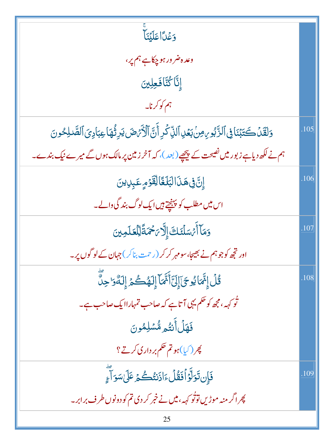| وَعَلَّا عَلَيْنَا                                                                                           |      |
|--------------------------------------------------------------------------------------------------------------|------|
| وعده ضر ور ہو چکاہے ہم پر،                                                                                   |      |
| إِنَّا كُتَّافَعِلِينَ                                                                                       |      |
| ہم کو کرنا۔                                                                                                  |      |
| وَلَقَلْ كَتَبۡنَافِى ٱلذَّبُورِ،مِنۡ بَعۡلِ ٱللَّهِ كَرِ أَنَّ ٱلۡأَرۡهَضَ يَرِثُمَا عِبَادِيَ ٱلصَّلِحُونَ | .105 |
| ہم نے لکھ دیاہے زبور میں نصیحت کے پیچھے (بعد )، کہ آخر زمین پر مالک ہوں گے میرے نیک بندے۔                    |      |
| إِنَّ فِى هَذَالْبَلَغَالِقَوْمِ عَبِرِينَ                                                                   | .106 |
| اس میں مطلب کو پہنچتے ہیں ایک لوگ بند گی والے۔                                                               |      |
| دَمَآ أَمُسَلَّنَكَ إِلَّا مَحْمَةً لِلْعَلَمِينَ                                                            | 107  |
| اور تجھ کو جو ہم نے بھیجا، سومہر کر کر ( رحمت بناکر ) جہان کے لو گوں پر۔                                     |      |
| ۛ<br>قُلۡ إِنَّمَايُوحَىٰٓ إِلَىٰٓأَنَّمَآ إِلَهُكُمۡ إِلَهُۥ لِلَّاسِّوَّ حِلَّ                             | .108 |
| تُو کہہ،مجھ کو حکم یہی آتاہے کہ صاحب تمہاراایک صاحب ہے۔                                                      |      |
| فَهَلۡ أَنتُم مُّسۡلِمُونَ                                                                                   |      |
| پھر (کیا)ہو تم حکم بر داری کرتے ؟                                                                            |      |
| فَإِن تَوَلَّوۡ أَفَقُٰلَ ءَاذَنتُكُمۡ عَلَىٰ سَوَ آَءٍ                                                      | .109 |
| پھر اگر منہ موڑیں توثو کہہ، میں نے خبر کر دی تم کو دونوں طرف برابر۔                                          |      |
| 25                                                                                                           |      |